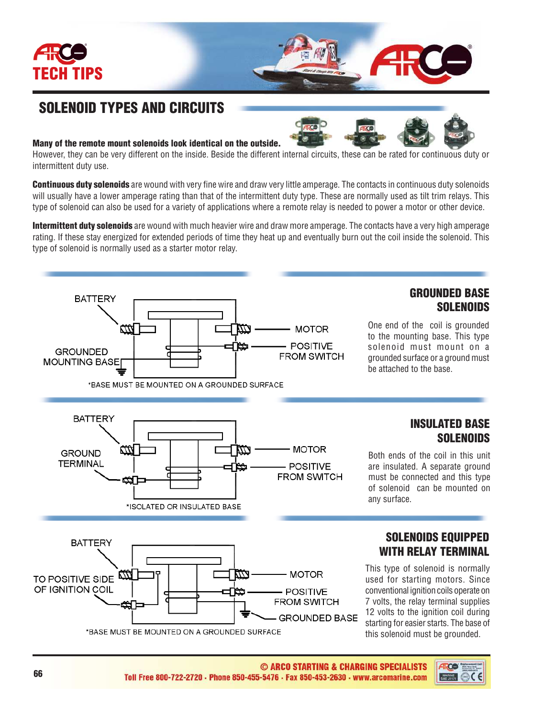

## SOLENOID TYPES AND CIRCUITS

## Many of the remote mount solenoids look identical on the outside.

However, they can be very different on the inside. Beside the different internal circuits, these can be rated for continuous duty or intermittent duty use.

Continuous duty solenoids are wound with very fine wire and draw very little amperage. The contacts in continuous duty solenoids will usually have a lower amperage rating than that of the intermittent duty type. These are normally used as tilt trim relays. This type of solenoid can also be used for a variety of applications where a remote relay is needed to power a motor or other device.

Intermittent duty solenoids are wound with much heavier wire and draw more amperage. The contacts have a very high amperage rating. If these stay energized for extended periods of time they heat up and eventually burn out the coil inside the solenoid. This type of solenoid is normally used as a starter motor relay.



Both ends of the coil in this unit are insulated. A separate ground must be connected and this type of solenoid can be mounted on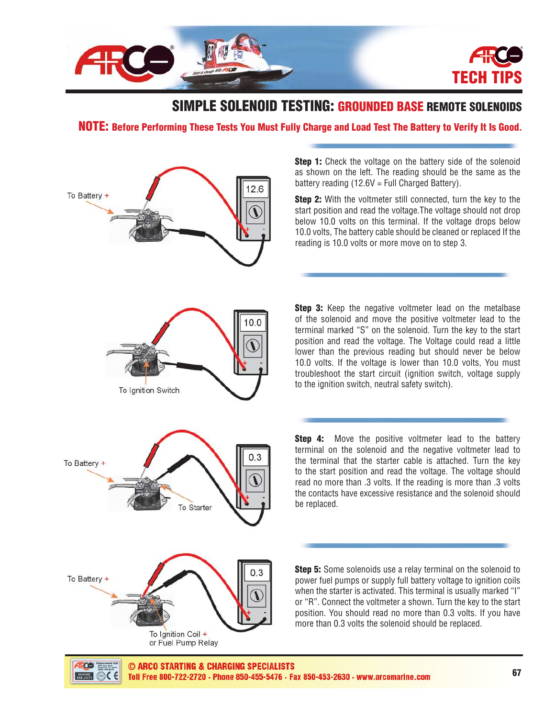

## SIMPLE SOLENOID TESTING: GROUNDED BASE REMOTE SOLENOIDS

NOTE: Before Performing These Tests You Must Fully Charge and Load Test The Battery to Verify It Is Good**.**



**Step 1:** Check the voltage on the battery side of the solenoid as shown on the left. The reading should be the same as the battery reading  $(12.6V = Full Charged Battery)$ .

**Step 2:** With the voltmeter still connected, turn the key to the start position and read the voltage.The voltage should not drop below 10.0 volts on this terminal. If the voltage drops below 10.0 volts, The battery cable should be cleaned or replaced If the reading is 10.0 volts or more move on to step 3.

**Step 3:** Keep the negative voltmeter lead on the metalbase of the solenoid and move the positive voltmeter lead to the terminal marked "S" on the solenoid. Turn the key to the start position and read the voltage. The Voltage could read a little lower than the previous reading but should never be below 10.0 volts. If the voltage is lower than 10.0 volts. You must troubleshoot the start circuit (ignition switch, voltage supply to the ignition switch, neutral safety switch).

**Step 4:** Move the positive voltmeter lead to the battery terminal on the solenoid and the negative voltmeter lead to the terminal that the starter cable is attached. Turn the key to the start position and read the voltage. The voltage should read no more than .3 volts. If the reading is more than .3 volts the contacts have excessive resistance and the solenoid should be replaced.

Step 5: Some solenoids use a relay terminal on the solenoid to power fuel pumps or supply full battery voltage to ignition coils when the starter is activated. This terminal is usually marked "I" or "R". Connect the voltmeter a shown. Turn the key to the start position. You should read no more than 0.3 volts. If you have more than 0.3 volts the solenoid should be replaced.